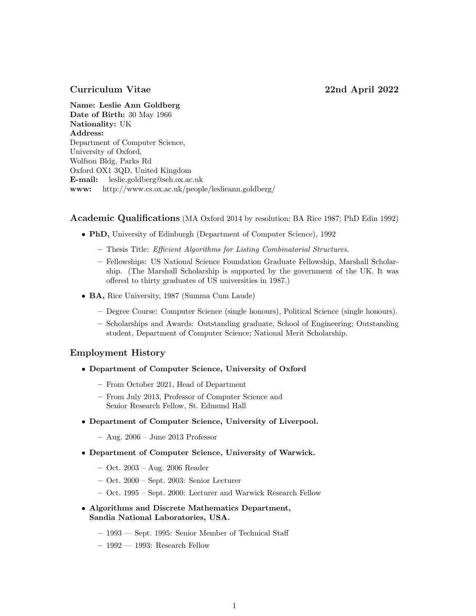# Curriculum Vitae 22nd April 2022

Name: Leslie Ann Goldberg Date of Birth: 30 May 1966 Nationality: UK Address: Department of Computer Science, University of Oxford, Wolfson Bldg, Parks Rd Oxford OX1 3QD, United Kingdom E-mail: leslie.goldberg@seh.ox.ac.uk www: http://www.cs.ox.ac.uk/people/leslieann.goldberg/

Academic Qualifications (MA Oxford 2014 by resolution; BA Rice 1987; PhD Edin 1992)

- PhD, University of Edinburgh (Department of Computer Science), 1992
	- Thesis Title: Efficient Algorithms for Listing Combinatorial Structures.
	- Fellowships: US National Science Foundation Graduate Fellowship, Marshall Scholarship. (The Marshall Scholarship is supported by the government of the UK. It was offered to thirty graduates of US universities in 1987.)
- BA, Rice University, 1987 (Summa Cum Laude)
	- Degree Course: Computer Science (single honours), Political Science (single honours).
	- Scholarships and Awards: Outstanding graduate, School of Engineering; Outstanding student, Department of Computer Science; National Merit Scholarship.

## Employment History

- Department of Computer Science, University of Oxford
	- From October 2021, Head of Department
	- From July 2013, Professor of Computer Science and Senior Research Fellow, St. Edmund Hall
- Department of Computer Science, University of Liverpool.
	- Aug. 2006 June 2013 Professor
- Department of Computer Science, University of Warwick.
	- Oct. 2003 Aug. 2006 Reader
	- Oct. 2000 Sept. 2003: Senior Lecturer
	- Oct. 1995 Sept. 2000: Lecturer and Warwick Research Fellow
- Algorithms and Discrete Mathematics Department, Sandia National Laboratories, USA.
	- 1993 Sept. 1995: Senior Member of Technical Staff
	- 1992 1993: Research Fellow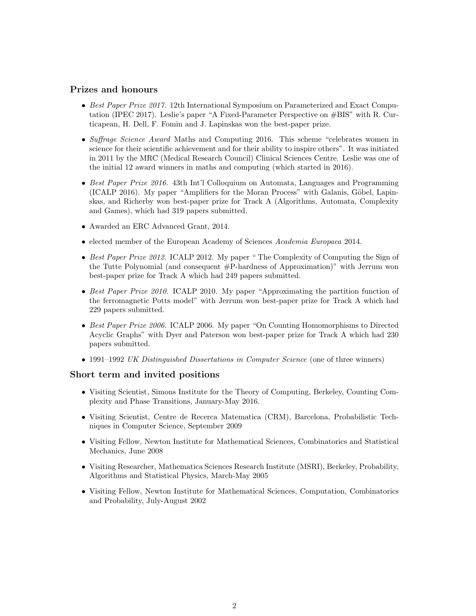# Prizes and honours

- Best Paper Prize 2017. 12th International Symposium on Parameterized and Exact Computation (IPEC 2017). Leslie's paper "A Fixed-Parameter Perspective on #BIS" with R. Curticapean, H. Dell, F. Fomin and J. Lapinskas won the best-paper prize.
- Suffrage Science Award Maths and Computing 2016. This scheme "celebrates women in science for their scientific achievement and for their ability to inspire others". It was initiated in 2011 by the MRC (Medical Research Council) Clinical Sciences Centre. Leslie was one of the initial 12 award winners in maths and computing (which started in 2016).
- Best Paper Prize 2016. 43th Int'l Colloquium on Automata, Languages and Programming (ICALP 2016). My paper "Amplifiers for the Moran Process" with Galanis, Göbel, Lapinskas, and Richerby won best-paper prize for Track A (Algorithms, Automata, Complexity and Games), which had 319 papers submitted.
- Awarded an ERC Advanced Grant, 2014.
- elected member of the European Academy of Sciences Academia Europaea 2014.
- Best Paper Prize 2012. ICALP 2012. My paper "The Complexity of Computing the Sign of the Tutte Polynomial (and consequent #P-hardness of Approximation)" with Jerrum won best-paper prize for Track A which had 249 papers submitted.
- Best Paper Prize 2010. ICALP 2010. My paper "Approximating the partition function of the ferromagnetic Potts model" with Jerrum won best-paper prize for Track A which had 229 papers submitted.
- Best Paper Prize 2006. ICALP 2006. My paper "On Counting Homomorphisms to Directed Acyclic Graphs" with Dyer and Paterson won best-paper prize for Track A which had 230 papers submitted.
- 1991–1992 UK Distinguished Dissertations in Computer Science (one of three winners)

#### Short term and invited positions

- Visiting Scientist, Simons Institute for the Theory of Computing, Berkeley, Counting Complexity and Phase Transitions, January-May 2016.
- Visiting Scientist, Centre de Recerca Matematica (CRM), Barcelona, Probabilistic Techniques in Computer Science, September 2009
- Visiting Fellow, Newton Institute for Mathematical Sciences, Combinatorics and Statistical Mechanics, June 2008
- Visiting Researcher, Mathematica Sciences Research Institute (MSRI), Berkeley, Probability, Algorithms and Statistical Physics, March-May 2005
- Visiting Fellow, Newton Institute for Mathematical Sciences, Computation, Combinatorics and Probability, July-August 2002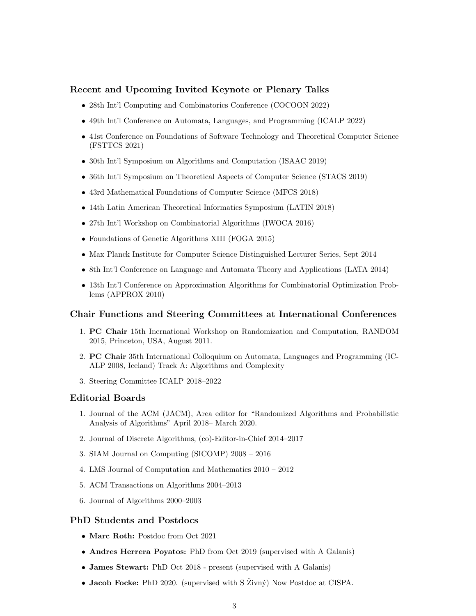## Recent and Upcoming Invited Keynote or Plenary Talks

- 28th Int'l Computing and Combinatorics Conference (COCOON 2022)
- 49th Int'l Conference on Automata, Languages, and Programming (ICALP 2022)
- 41st Conference on Foundations of Software Technology and Theoretical Computer Science (FSTTCS 2021)
- 30th Int'l Symposium on Algorithms and Computation (ISAAC 2019)
- 36th Int'l Symposium on Theoretical Aspects of Computer Science (STACS 2019)
- 43rd Mathematical Foundations of Computer Science (MFCS 2018)
- 14th Latin American Theoretical Informatics Symposium (LATIN 2018)
- 27th Int'l Workshop on Combinatorial Algorithms (IWOCA 2016)
- Foundations of Genetic Algorithms XIII (FOGA 2015)
- Max Planck Institute for Computer Science Distinguished Lecturer Series, Sept 2014
- 8th Int'l Conference on Language and Automata Theory and Applications (LATA 2014)
- 13th Int'l Conference on Approximation Algorithms for Combinatorial Optimization Problems (APPROX 2010)

#### Chair Functions and Steering Committees at International Conferences

- 1. PC Chair 15th Inernational Workshop on Randomization and Computation, RANDOM 2015, Princeton, USA, August 2011.
- 2. PC Chair 35th International Colloquium on Automata, Languages and Programming (IC-ALP 2008, Iceland) Track A: Algorithms and Complexity
- 3. Steering Committee ICALP 2018–2022

#### Editorial Boards

- 1. Journal of the ACM (JACM), Area editor for "Randomized Algorithms and Probabilistic Analysis of Algorithms" April 2018– March 2020.
- 2. Journal of Discrete Algorithms, (co)-Editor-in-Chief 2014–2017
- 3. SIAM Journal on Computing (SICOMP) 2008 2016
- 4. LMS Journal of Computation and Mathematics 2010 2012
- 5. ACM Transactions on Algorithms 2004–2013
- 6. Journal of Algorithms 2000–2003

### PhD Students and Postdocs

- Marc Roth: Postdoc from Oct 2021
- Andres Herrera Poyatos: PhD from Oct 2019 (supervised with A Galanis)
- James Stewart: PhD Oct 2018 present (supervised with A Galanis)
- Jacob Focke: PhD 2020. (supervised with  $S \times \mathbb{Z}$ ivný) Now Postdoc at CISPA.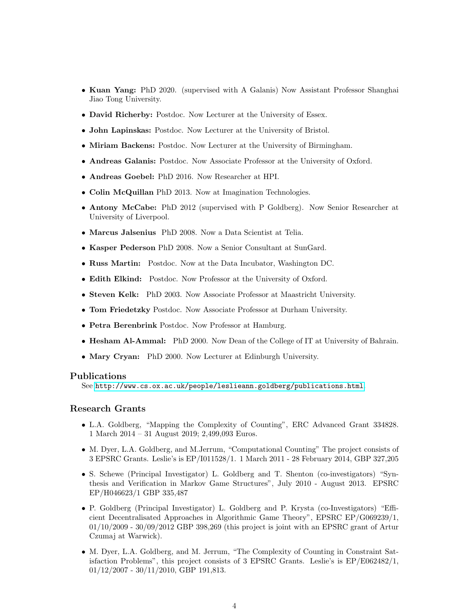- Kuan Yang: PhD 2020. (supervised with A Galanis) Now Assistant Professor Shanghai Jiao Tong University.
- David Richerby: Postdoc. Now Lecturer at the University of Essex.
- John Lapinskas: Postdoc. Now Lecturer at the University of Bristol.
- Miriam Backens: Postdoc. Now Lecturer at the University of Birmingham.
- Andreas Galanis: Postdoc. Now Associate Professor at the University of Oxford.
- Andreas Goebel: PhD 2016. Now Researcher at HPI.
- Colin McQuillan PhD 2013. Now at Imagination Technologies.
- Antony McCabe: PhD 2012 (supervised with P Goldberg). Now Senior Researcher at University of Liverpool.
- Marcus Jalsenius PhD 2008. Now a Data Scientist at Telia.
- Kasper Pederson PhD 2008. Now a Senior Consultant at SunGard.
- Russ Martin: Postdoc. Now at the Data Incubator, Washington DC.
- Edith Elkind: Postdoc. Now Professor at the University of Oxford.
- Steven Kelk: PhD 2003. Now Associate Professor at Maastricht University.
- Tom Friedetzky Postdoc. Now Associate Professor at Durham University.
- Petra Berenbrink Postdoc. Now Professor at Hamburg.
- Hesham Al-Ammal: PhD 2000. Now Dean of the College of IT at University of Bahrain.
- Mary Cryan: PhD 2000. Now Lecturer at Edinburgh University.

#### Publications

See <http://www.cs.ox.ac.uk/people/leslieann.goldberg/publications.html>.

#### Research Grants

- L.A. Goldberg, "Mapping the Complexity of Counting", ERC Advanced Grant 334828. 1 March 2014 – 31 August 2019; 2,499,093 Euros.
- M. Dyer, L.A. Goldberg, and M.Jerrum, "Computational Counting" The project consists of 3 EPSRC Grants. Leslie's is EP/I011528/1. 1 March 2011 - 28 February 2014, GBP 327,205
- S. Schewe (Principal Investigator) L. Goldberg and T. Shenton (co-investigators) "Synthesis and Verification in Markov Game Structures", July 2010 - August 2013. EPSRC EP/H046623/1 GBP 335,487
- P. Goldberg (Principal Investigator) L. Goldberg and P. Krysta (co-Investigators) "Efficient Decentralisated Approaches in Algorithmic Game Theory", EPSRC EP/G069239/1, 01/10/2009 - 30/09/2012 GBP 398,269 (this project is joint with an EPSRC grant of Artur Czumaj at Warwick).
- M. Dyer, L.A. Goldberg, and M. Jerrum, "The Complexity of Counting in Constraint Satisfaction Problems", this project consists of 3 EPSRC Grants. Leslie's is EP/E062482/1, 01/12/2007 - 30/11/2010, GBP 191,813.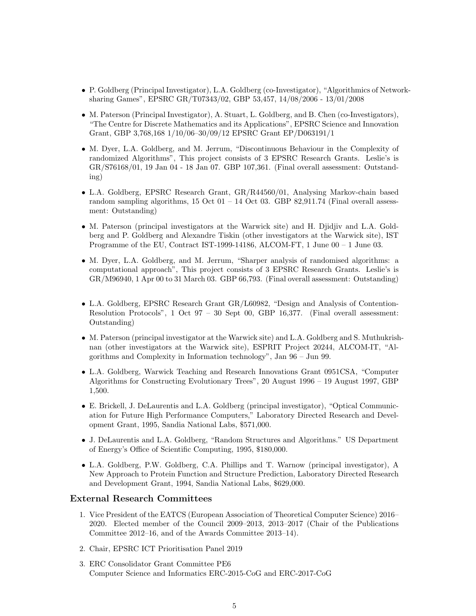- P. Goldberg (Principal Investigator), L.A. Goldberg (co-Investigator), "Algorithmics of Networksharing Games", EPSRC GR/T07343/02, GBP 53,457, 14/08/2006 - 13/01/2008
- M. Paterson (Principal Investigator), A. Stuart, L. Goldberg, and B. Chen (co-Investigators), "The Centre for Discrete Mathematics and its Applications", EPSRC Science and Innovation Grant, GBP 3,768,168 1/10/06–30/09/12 EPSRC Grant EP/D063191/1
- M. Dyer, L.A. Goldberg, and M. Jerrum, "Discontinuous Behaviour in the Complexity of randomized Algorithms", This project consists of 3 EPSRC Research Grants. Leslie's is GR/S76168/01, 19 Jan 04 - 18 Jan 07. GBP 107,361. (Final overall assessment: Outstanding)
- L.A. Goldberg, EPSRC Research Grant, GR/R44560/01, Analysing Markov-chain based random sampling algorithms,  $15$  Oct  $01 - 14$  Oct  $03$ . GBP 82,911.74 (Final overall assessment: Outstanding)
- M. Paterson (principal investigators at the Warwick site) and H. Djidjiv and L.A. Goldberg and P. Goldberg and Alexandre Tiskin (other investigators at the Warwick site), IST Programme of the EU, Contract IST-1999-14186, ALCOM-FT, 1 June 00 – 1 June 03.
- M. Dyer, L.A. Goldberg, and M. Jerrum, "Sharper analysis of randomised algorithms: a computational approach", This project consists of 3 EPSRC Research Grants. Leslie's is GR/M96940, 1 Apr 00 to 31 March 03. GBP 66,793. (Final overall assessment: Outstanding)
- L.A. Goldberg, EPSRC Research Grant GR/L60982, "Design and Analysis of Contention-Resolution Protocols", 1 Oct 97 – 30 Sept 00, GBP 16,377. (Final overall assessment: Outstanding)
- M. Paterson (principal investigator at the Warwick site) and L.A. Goldberg and S. Muthukrishnan (other investigators at the Warwick site), ESPRIT Project 20244, ALCOM-IT, "Algorithms and Complexity in Information technology", Jan 96 – Jun 99.
- L.A. Goldberg, Warwick Teaching and Research Innovations Grant 0951CSA, "Computer Algorithms for Constructing Evolutionary Trees", 20 August 1996 – 19 August 1997, GBP 1,500.
- E. Brickell, J. DeLaurentis and L.A. Goldberg (principal investigator), "Optical Communication for Future High Performance Computers," Laboratory Directed Research and Development Grant, 1995, Sandia National Labs, \$571,000.
- J. DeLaurentis and L.A. Goldberg, "Random Structures and Algorithms." US Department of Energy's Office of Scientific Computing, 1995, \$180,000.
- L.A. Goldberg, P.W. Goldberg, C.A. Phillips and T. Warnow (principal investigator), A New Approach to Protein Function and Structure Prediction, Laboratory Directed Research and Development Grant, 1994, Sandia National Labs, \$629,000.

# External Research Committees

- 1. Vice President of the EATCS (European Association of Theoretical Computer Science) 2016– 2020. Elected member of the Council 2009–2013, 2013–2017 (Chair of the Publications Committee 2012–16, and of the Awards Committee 2013–14).
- 2. Chair, EPSRC ICT Prioritisation Panel 2019
- 3. ERC Consolidator Grant Committee PE6 Computer Science and Informatics ERC-2015-CoG and ERC-2017-CoG